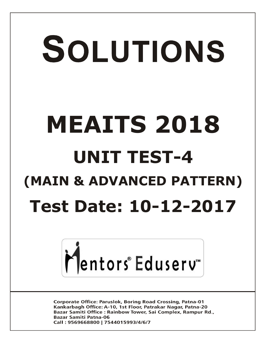# SOLUTIONS **MEAITS 2018 UNIT TEST-4 (MAIN & ADVANCED PATTERN) Test Date: 10-12-2017**



**Corporate Office: Paruslok, Boring Road Crossing, Patna-01** Kankarbagh Office: A-10, 1st Floor, Patrakar Nagar, Patna-20 Bazar Samiti Office: Rainbow Tower, Sai Complex, Rampur Rd., **Bazar Samiti Patna-06** Call: 9569668800 | 7544015993/4/6/7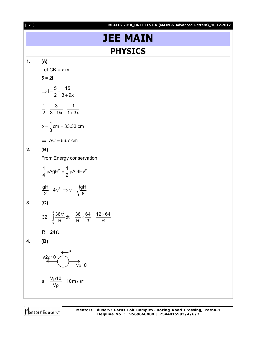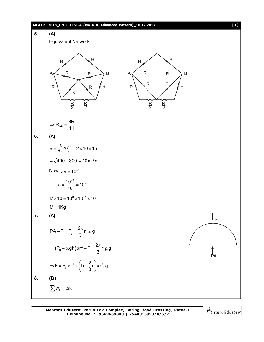

**Mentors Eduserv: Parus Lok Complex, Boring Road Crossing, Patna-1 Helpline No. : 9569668800 | 7544015993/4/6/7**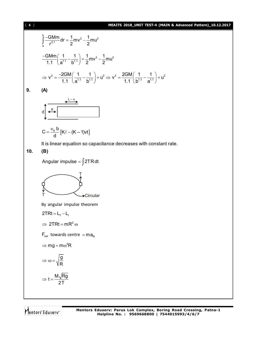### [ **4** ] **MEAITS 2018\_UNIT TEST-4 (MAIN & Advanced Pattern)\_10.12.2017**

$$
\int_{a}^{b} \frac{-GMm}{r^{2.1}} dr = \frac{1}{2}mv^{2} - \frac{1}{2}mu^{2}
$$
\n
$$
\frac{-GMm}{1.1} \left( \frac{1}{a^{1.1}} - \frac{1}{b^{1.1}} \right) = \frac{1}{2}mv^{2} - \frac{1}{2}mu^{2}
$$
\n
$$
\Rightarrow v^{2} = \frac{-2GM}{1.1} \left( \frac{1}{a^{1.1}} - \frac{1}{b^{1.1}} \right) + u^{2} \Rightarrow v^{2} = \frac{2GM}{1.1} \left( \frac{1}{b^{1.1}} - \frac{1}{a^{1.1}} \right) + u^{2}
$$

**9. (A)**

$$
\frac{d}{d} \frac{1 - x}{1 - x}
$$

$$
C = \frac{\epsilon_0 b}{d} [K\ell - (K - 1)vt]
$$

It is linear equation so capacitance decreases with constant rate.

**10. (B)**

$$
Angular impulse = \int 2TR dt
$$

By angular impulse theorem  
\n2TRt = L<sub>f</sub> - L<sub>i</sub>  
\n
$$
\Rightarrow 2TRt = mR^2 \omega
$$
\n
$$
F_{net} \t towards centre = ma_N
$$
\n
$$
\Rightarrow mg = m\omega^2 R
$$
\n
$$
\Rightarrow \omega = \sqrt{\frac{g}{R}}
$$

$$
\Rightarrow t = \frac{M\sqrt{Rg}}{2T}
$$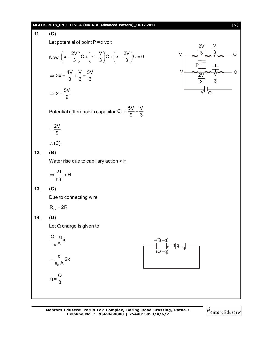### **MEAITS 2018\_UNIT TEST-4 (MAIN & Advanced Pattern)\_10.12.2017** [ **5** ]

11. (C)  
\nLet potential of point P = x volt  
\nNow, 
$$
\left(x - \frac{2V}{3}\right)C + \left(x - \frac{V}{3}\right)C + \left(x - \frac{2V}{3}\right)C = 0
$$
  
\n
$$
\Rightarrow 3x = \frac{4V}{3} + \frac{V}{3} = \frac{5V}{3}
$$
\n
$$
\Rightarrow x = \frac{5V}{9}
$$
\n
$$
\Rightarrow x = \frac{5V}{9}
$$
\n
$$
\Rightarrow V = \frac{2V}{9}
$$
\n
$$
\Rightarrow V = \frac{2V}{9}
$$
\n
$$
\therefore C
$$
\n12. (B)  
\n13. (C)  
\n14. (D)  
\nLet Q charge is given to  
\n
$$
\frac{Q - q}{e_0 A}x
$$
\n
$$
= \frac{q}{e_0 A} 2x
$$
\n
$$
q = \frac{q}{3}
$$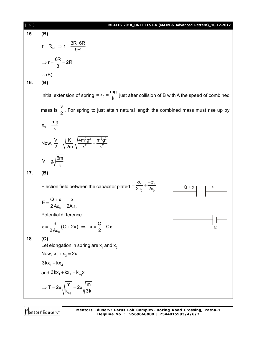| $\begin{bmatrix} 6 \end{bmatrix}$ | MEAITS 2018_UNIT TEST-4 (MAIN & Advanced Pattern)_10.12.2017                                                                     |
|-----------------------------------|----------------------------------------------------------------------------------------------------------------------------------|
| 15.                               | (B)                                                                                                                              |
|                                   | $r = R_{eq} \Rightarrow r = \frac{3R \cdot 6R}{9R}$                                                                              |
|                                   | $\Rightarrow$ r = $\frac{6R}{3}$ = 2R                                                                                            |
|                                   | $\therefore$ (B)                                                                                                                 |
| 16.                               | (B)                                                                                                                              |
|                                   | Initial extension of spring = $x_0 = \frac{mg}{k}$ just after collision of B with A the speed of combined                        |
|                                   | mass is $\frac{v}{2}$ . For spring to just attain natural length the combined mass must rise up by                               |
|                                   | $x_0 = \frac{mg}{k}$                                                                                                             |
|                                   | Now, $\frac{V}{2} = \sqrt{\frac{K}{2m}} \sqrt{\frac{4m^2 g^2}{k^2} - \frac{m^2 g^2}{k^2}}$                                       |
|                                   | $V = g \sqrt{\frac{6m}{k}}$                                                                                                      |
| 17.                               | (B)                                                                                                                              |
|                                   | Election field between the capacitor plated $=\frac{\sigma_1}{2\varepsilon_0}+\frac{-\sigma_2}{2\varepsilon_0}$<br>$Q + x$ $- x$ |
|                                   | $E = \frac{Q + x}{2A\epsilon_0} + \frac{x}{2A\epsilon_0}$                                                                        |
|                                   | Potential difference                                                                                                             |
|                                   | $\epsilon = \frac{d}{2A\epsilon} (Q + 2x) \Rightarrow -x = \frac{Q}{2} - C\epsilon$                                              |
| 18.                               | (C)                                                                                                                              |
|                                   | Let elongation in spring are $x_1$ and $x_2$ .                                                                                   |
|                                   | Now, $x_1 + x_2 = 2x$                                                                                                            |
|                                   | $3kx_1 = kx_2$                                                                                                                   |
|                                   | and $3kx_1 + kx_2 = k_{eq}x$                                                                                                     |
|                                   | $\Rightarrow T = 2\pi \sqrt{\frac{m}{k_{\text{eq}}}} = 2\pi \sqrt{\frac{m}{3k}}$                                                 |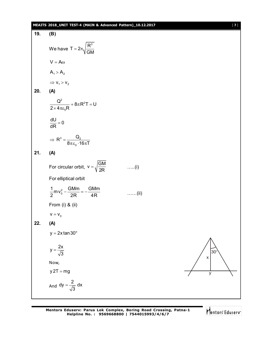### **MEAITS 2018\_UNIT TEST-4 (MAIN & Advanced Pattern)\_10.12.2017** [ **7** ]

19. (B)  
\nWe have 
$$
T = 2\pi \sqrt{\frac{R^3}{GM}}
$$
  
\n $V = A\omega$   
\n $A_1 > A_2$   
\n $\Rightarrow v_1 > v_2$   
\n20. (A)  
\n $\frac{Q^2}{2 \times 4\pi \epsilon_0 R} + 8\pi R^2 T = U$   
\n $\frac{dU}{dR} = 0$   
\n $\Rightarrow R^3 = \frac{Q_2}{8\pi \epsilon_0 \cdot 16\pi T}$   
\n21. (A)  
\nFor circular orbit,  $v = \sqrt{\frac{GM}{2R}}$  ....(i)  
\nFor elliptical orbit  
\n $\frac{1}{2}mv_0^2 - \frac{GMm}{2R} = -\frac{GMm}{4R}$  ....(ii)  
\nFrom (i) & (ii)  
\n $v = v_0$   
\n22. (A)  
\n $y = 2x \tan 30^\circ$   
\n $y = \frac{2x}{\sqrt{3}}$   
\nNow,  
\n $y \cdot 2T = mg$   
\nAnd  $dy = \frac{2}{\sqrt{3}} dx$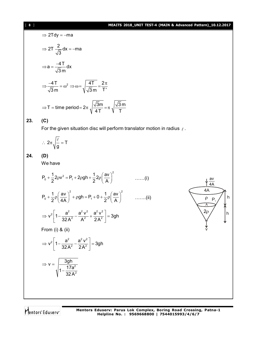### [ **8** ] **MEAITS 2018\_UNIT TEST-4 (MAIN & Advanced Pattern)\_10.12.2017**

 $2\rho$ 

v

A

4A

 $\rho$ <sub>1</sub>

av 4A

h

h

$$
\Rightarrow 2Tdy = -ma
$$
  
\n
$$
\Rightarrow 2T \frac{2}{\sqrt{3}} dx = -ma
$$
  
\n
$$
\Rightarrow a = \frac{-4T}{\sqrt{3}m} dx
$$
  
\n
$$
\Rightarrow \frac{-4T}{\sqrt{3}m} = \omega^2 \Rightarrow \omega = \sqrt{\frac{4T}{\sqrt{3}m}} = \frac{2\pi}{T'}
$$
  
\n
$$
\Rightarrow T = \text{time period} = 2\pi \sqrt{\frac{\sqrt{3}m}{4T}} = \pi \sqrt{\frac{\sqrt{3}m}{T}}
$$

### **23. (C)**

For the given situation disc will perform translator motion in radius  $\ell$ .

$$
\therefore \ 2\pi \sqrt{\frac{\ell}{g}} = T
$$

**24. (D)**

We have

$$
P_0 + \frac{1}{2} 2\rho v^2 = P_1 + 2\rho g h + \frac{1}{2} 2\rho \left(\frac{av}{A}\right)^2 \qquad \qquad \dots \dots (i)
$$

$$
P_0 + \frac{1}{2}\rho\left(\frac{av}{4A}\right)^2 + \rho gh = P_1 + 0 + \frac{1}{2}\rho\left(\frac{av}{A}\right)^2
$$
 ......(ii)

$$
\Rightarrow v^2 \left[ 1 - \frac{a^2}{32A^2} - \frac{a^2v^2}{A^2} + \frac{a^2v^2}{2A^2} \right] = 3gh
$$

From (i) & (ii)

$$
\Rightarrow v^2 \left[ 1 - \frac{a^2}{32A^2} - \frac{a^2 v^2}{2A^2} \right] = 3gh
$$

$$
\Rightarrow v = \sqrt{\frac{3gh}{1 - \frac{17a^2}{32A^2}}}
$$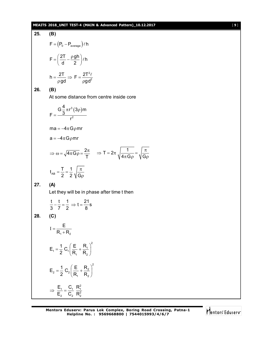### **MEAITS 2018\_UNIT TEST-4 (MAIN & Advanced Pattern)\_10.12.2017** [ **9** ]

25. **(B)**  
\n
$$
F = (P_0 - P_{average})\ell h
$$
\n
$$
F = \left(\frac{2T}{d} - \frac{\rho gh}{2}\right)\ell h
$$
\n
$$
h = \frac{2T}{\rho gd} \Rightarrow F = \frac{2T^2\ell}{\rho gd^2}
$$
\n26. **(B)**  
\nAt some distance from centre inside core  
\n
$$
F = \frac{G\frac{4}{3}\pi r^3(3\rho)m}{r^2}
$$
\n
$$
ma = -4\pi G\rho mr
$$
\n
$$
a = -4\pi G\rho mr
$$
\n
$$
\Rightarrow \omega = \sqrt{4\pi G\rho} = \frac{2\pi}{T} \Rightarrow T = 2\pi \sqrt{\frac{1}{4\pi G\rho}} = \sqrt{\frac{\pi}{G\rho}}
$$
\n
$$
t_{AB} = \frac{T}{2} = \frac{1}{2} \sqrt{\frac{\pi}{G\rho}}
$$
\n27. **(A)**  
\nLet they will be in phase after time *t* then  
\n
$$
\frac{t}{3} - \frac{t}{7} = \frac{1}{2} \Rightarrow t = \frac{21}{8}s
$$
\n28. **(C)**  
\n
$$
I = \frac{E}{R_1 + R_2}
$$
\n
$$
E_1 = \frac{1}{2} C_1 \left(\frac{E}{R_1} + \frac{R_1}{R_2}\right)^2
$$
\n
$$
E_2 = \frac{1}{2} C_2 \left(\frac{E}{R_1} + \frac{R_2}{R_2}\right)^2
$$
\n
$$
\Rightarrow \frac{E_1}{E_2} = \frac{C_1}{C_2} \frac{R_1^2}{R_2^2}
$$

 $\pi$ 

Mentors<sup>e</sup> Eduserv<sup>-</sup>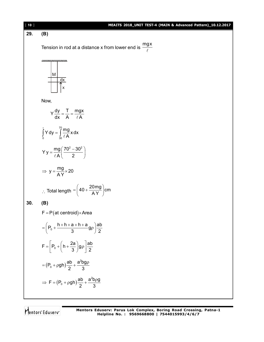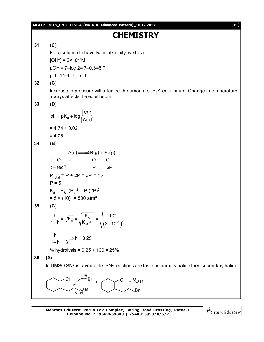**MEAITS 2018\_UNIT TEST-4 (MAIN & Advanced Pattern)\_10.12.2017** [ **11** ]

### **CHEMISTRY**

**31. (C)**

For a solution to have twice alkalinity, we have

 $[OH^-] = 2 \times 10^{-7}$ M

pOH = 7–log 2= 7–0.3=6.7

pH= 14–6.7 = 7.3

### **32. (C)**

Increase in pressure will affected the amount of  $B_3A$  equilibrium. Change in temperature always affects the equilibrium.

### **33. (D)**

$$
pH = pK_a + log \frac{[salt]}{[Acid]}
$$

$$
= 4.74 + 0.02
$$

$$
= 4.76
$$

$$
34. \qquad (B)
$$

$$
A(s) \xrightarrow{--} B(g) + 2C(g)
$$
  
\n $t = O - O O$   
\n $t = teq^{m} - P 2P$   
\n $P_{\text{Total}} = P + 2P = 3P = 15$   
\n $P = 5$   
\n $K_{p} = P_{B}. (P_{c})^{2} = P (2P)^{2}$   
\n $= 5 \times (10)^{2} = 500 \text{ atm}^{3}$ 

$$
35. (C)
$$

$$
\frac{h}{1-h} = \sqrt{K_{h}} = \sqrt{\frac{K_{w}}{K_{a}, K_{b}}} = \sqrt{\frac{10^{-4}}{(3 \times 10^{-7})^{2}}}
$$

$$
\frac{h}{1+h} = \frac{1}{2} \Rightarrow h = 0.25
$$

$$
1-h-3 \rightarrow n-e
$$

% hydrolysis =  $0.25 \times 100 = 25\%$ 

**36. (A)**

In DMSO SN<sup>2</sup> is favourable. SN<sup>2</sup> reactions are faster in primary halide then secondary halide



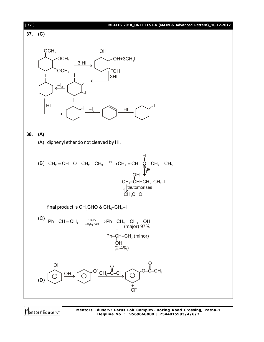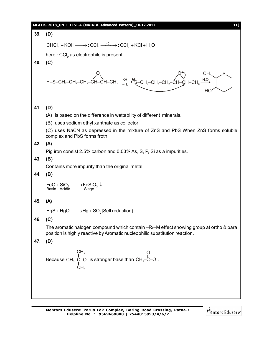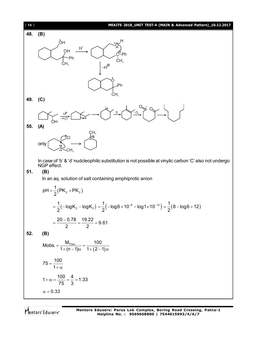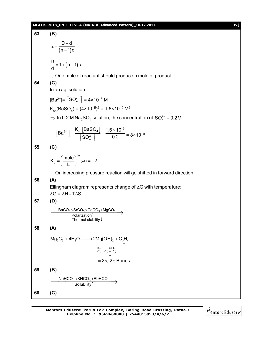### **MEAITS 2018\_UNIT TEST-4 (MAIN & Advanced Pattern)\_10.12.2017** [ **15** ]

53. **(B)**  
\n
$$
\alpha = \frac{D-d}{(n-1)d}
$$
\n
$$
\frac{D}{d} = 1 + (n-1)\alpha
$$
\n∴ One mole of reactant should produce n mole of product.  
\n54. **(C)**  
\nIn an ag. solution  
\n
$$
[Ba^{2+}] = [SO_{4}^{2-}] = 4 \times 10^{-5} M
$$
\n
$$
K_{sp}(BaSO_{4}) = (4 \times 10^{-5})^{2} = 1.6 \times 10^{-9} M^{2}
$$
\n⇒ ln 0.2 M Na<sub>2</sub> SO<sub>4</sub> solution, the concentration of SO<sub>4</sub><sup>2</sup> = 0.2 M  
\n∴ 
$$
[Ba^{2+}] = \frac{K_{sp}(BaSO_{4})}{[SO_{4}^{2-}]} = \frac{1.6 \times 10^{-9}}{0.2} = 8 \times 10^{-9}
$$
\n55. **(C)**  
\n
$$
K_{c} = \left(\frac{mole}{L}\right)^{4n}: \text{ln } n = -2
$$
\n∴ On increasing pressure reaction will ge shifted in forward direction.  
\n56. **(A)**  
\nEllingham diagram represents change of ΔG with temperature:  
\nΔG = ΔH - TΔS  
\n57. **(D)**  
\n
$$
\frac{BaCO_{3} > SrCO_{3} > CaCO_{3} > MgCO_{3}
$$
\n⇒ 
$$
\frac{Polaization}{Polaization}
$$
\nTherefore, 
$$
\frac{a}{V} = C = \frac{\pi}{C}
$$
\n⇒ 
$$
2\alpha, 2\pi
$$
 Bonds  
\n59. **(B)**  
\n
$$
\frac{NaHCO_{3} \times KHCO_{3} < RbHCO_{3}
$$
\n⇒ Solubility  
\n50. **(C)**  
\n
$$
\frac{NaHCO_{3} \times KHCO_{3} < RbHCO_{3}
$$
\n⇒ Solubility  
\n50. **(C)**

Mentors<sup>e</sup> Eduserv<sup>-</sup>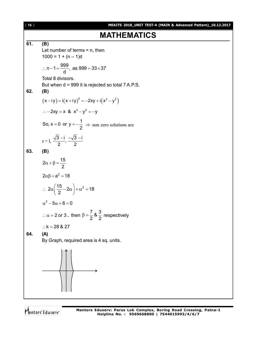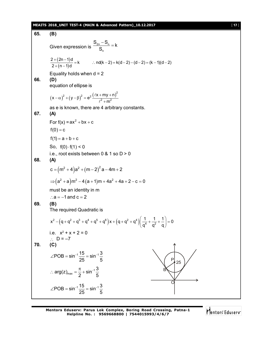### **MEAITS 2018\_UNIT TEST-4 (MAIN & Advanced Pattern)\_10.12.2017** [ **17** ]

65. **(B)**  
\nGiven expression is 
$$
\frac{S_{2n} - S_n}{S_n} = k
$$
  
\n $\frac{2 + (2n - 1)d}{2 + (n - 1)d} = k$  ...  $n d(k - 2) = k(d - 2) = (k - 1)(d - 2)$   
\nEquality holds when  $d = 2$   
\n66. **(D)**  
\nequation of ellipse is  
\n $(x - a)^2 + (y - \beta)^2 = e^2 \frac{(x + m y + n)^2}{t^2 + m^2}$   
\nas e is known, there are 4 arbitrary constants.  
\n67. **(A)**  
\nFor  $f(x) = ax^2 + bx + c$   
\n $f(0) = c$   
\n $f(1) = a + b + c$   
\nSo,  $f(0) \cdot f(1) < 0$   
\ni.e., root exists between 0 & 1 so D > 0  
\n68. **(A)**  
\n $c = (m^2 + 4)a^2 + (m - 2)^2 a - 4m + 2$   
\n $\Rightarrow (a^2 + a)m^2 - 4(a + 1)m + 4a^2 + 4a + 2 - c = 0$   
\nmust be an identity in m  
\n∴ a = -1 and c = 2  
\n69. **(B)**  
\nThe required Quadratic is  
\n $x^2 - (q + q^2 + q^3 + q^4 + q^5 + q^6)x + (q + q^2 + q^4) \left(\frac{1}{q^4} + \frac{1}{q^2} + \frac{1}{q}\right) = 0$   
\ni.e.  $x^2 + x + 2 = 0$   
\n $\therefore D = -7$   
\n**(C)**  
\n $\angle POB = \sin^{-1} \frac{15}{25} = \sin^{-1} \frac{3}{5}$   
\n∴ arg(z)<sub>max</sub> =  $\frac{\pi}{2} + \sin^{-1} \frac{3}{5}$   
\n $\angle POB = \sin^{-1} \frac{15}{25} = \sin^{-1} \frac{3}{5}$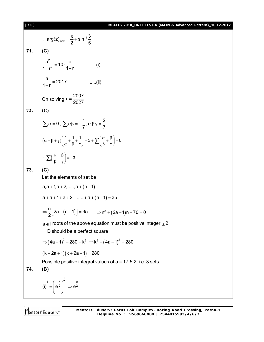### [ **18** ] **MEAITS 2018\_UNIT TEST-4 (MAIN & Advanced Pattern)\_10.12.2017**

∴ arg(z)<sub>max</sub> = 
$$
\frac{\pi}{2}
$$
 + sin<sup>-1</sup>  $\frac{3}{5}$   
\n71. (C)  
\n
$$
\frac{a^2}{1-r^2} = 10 \cdot \frac{a}{1-r}
$$
\n........(i)  
\n
$$
\frac{a}{1-r} = 2017
$$
\n........(ii)  
\nOn solving  $r = \frac{2007}{2027}$   
\n72. (C)  
\n
$$
\sum \alpha = 0; \sum \alpha \beta = -\frac{1}{7}, \alpha \beta; \gamma = \frac{2}{7}
$$
\n
$$
(\alpha + \beta + \gamma) \left(\frac{1}{\alpha} + \frac{1}{\beta} + \frac{1}{\gamma}\right) = 3 + \sum \left(\frac{\alpha}{\beta} + \frac{\beta}{\gamma}\right) = 0
$$
\n
$$
\therefore \sum \left(\frac{\alpha}{\beta} + \frac{\beta}{\gamma}\right) = -3
$$
\n73. (C)  
\nLet the elements of set be  
\n $a, a + 1, a + 2, \dots, a + (n - 1)$   
\n $a + a + 1 + a + 2 + \dots + a + (n - 1) = 35$   
\n
$$
\Rightarrow \frac{n}{2} [2a + (n - 1)] = 35 \Rightarrow n^2 + (2a - 1)n - 70 = 0
$$
\n $a \in I \text{ roots of the above equation must be positive integer } \ge 2$   
\n∴ D should be a perfect square  
\n
$$
\Rightarrow (4a - 1)^2 + 280 = k^2 \Rightarrow k^2 - (4a - 1)^2 = 280
$$
\n
$$
(k - 2a + 1)(k + 2a - 1) = 280
$$
\n
$$
\text{possible positive integral values of } a = 17, 5, 2 \text{ i.e. } 3 \text{ sets.}
$$
\n74. (B)  
\n
$$
\frac{1}{(1)^1} = \left(e^{\frac{i\pi}{2}}\right)^{\frac{1}{1}} \Rightarrow e^{\frac{\pi}{2}}
$$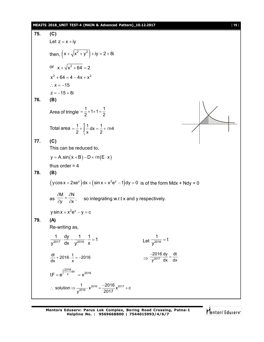### **MEAITS 2018\_UNIT TEST-4 (MAIN & Advanced Pattern)\_10.12.2017** [ **19** ]

75. (C)  
\nLet 
$$
z = x+iy
$$
  
\nthen,  $(x+\sqrt{x^2+y^2})+iy = 2+8i$   
\nor  $x+\sqrt{x^2+64} = 2$   
\n $x^2+64 = 4-4x+x^2$   
\n $\therefore x = -15$   
\n $z = -15 \cdot 8i$   
\n76. (B)  
\nArea of triangle  $= \frac{1}{2} \times 1 \times 1 = \frac{1}{2}$   
\nTotal area  $= \frac{1}{2} + \int_{1}^{1} \frac{1}{x} dx = \frac{1}{2} + \ln 4$   
\n77. (C)  
\nThis can be reduced to,  
\n $y = A \sin(x+B) - D \times f \ln(E \cdot x)$   
\nthus order  $= 4$   
\n78. (B)  
\n $(y \cos x + 2xe^y) dx + (\sin x + x^2e^y - 1) dy = 0$  is of the form  $Mdx + Ndy = 0$   
\nas  $\frac{\delta M}{\delta y} = \frac{\delta N}{\delta x}$ , so integrating w.r.t x and y respectively.  
\n $y \sin x + x^2e^y - y = c$   
\n79. (A)  
\nRe-writing as,  
\n $\frac{1}{y^{2017}} \cdot \frac{dy}{dx} = \frac{1}{y^{2016}} \cdot \frac{1}{x} = 1$   
\n $\frac{dt}{dx} + 2016 \cdot \frac{1}{x} = -2016$   
\n $\frac{dt}{dx} + 2016 \cdot \frac{1}{x} = -2016$   
\n $I.F = e^{\int \frac{2016}{x} dx} = x^{2016}$   
\n $\therefore$  solution  $= \frac{1}{y^{2017}} \cdot x^{2016} = \frac{-2016}{2017} x^{2017} + c$ 

**Mentors Eduserv: Parus Lok Complex, Boring Road Crossing, Patna-1 Helpline No. : 9569668800 | 7544015993/4/6/7**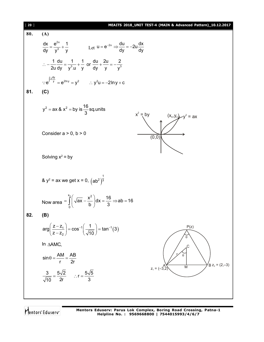| [20] | MEAITS 2018_UNIT TEST-4 (MAIN & Advanced Pattern)_10.12.2017                                                            |
|------|-------------------------------------------------------------------------------------------------------------------------|
| 80.  | (A)                                                                                                                     |
|      | $\frac{dx}{dv} = \frac{e^{2x}}{v^3} + \frac{1}{v}$ Let $u = e^{-2x} \Rightarrow \frac{du}{dv} = -2u \frac{dx}{dv}$      |
|      | : $-\frac{1}{2u}\frac{du}{dv} = \frac{1}{v^3 \cdot u} + \frac{1}{v}$ or $\frac{du}{dv} + \frac{2u}{v} = -\frac{2}{v^3}$ |
|      | ∴ $e^{\int 2\frac{dy}{y}} = e^{2\ln y} = y^2$ ∴ $y^2u = -2\ln y + c$                                                    |
| 81.  | (C)                                                                                                                     |
|      | $y^2 = ax \& x^2 = by is \frac{16}{3}$ sq.units<br>$x^2 = by$<br>$(x_0, y_0)$ $-y^2 = ax$                               |
|      | Consider $a > 0$ , $b > 0$<br>(0, 0)                                                                                    |
|      | Solving $x^2 = by$                                                                                                      |
|      | & $y^2$ = ax we get x = 0, $(ab^2)^{\frac{1}{3}}$                                                                       |
|      | Now area $=\int_{a}^{x_0}\left(\sqrt{ax}-\frac{x^2}{b}\right)dx=\frac{16}{3}$ $\Rightarrow$ ab = 16                     |
| 82.  | (B)                                                                                                                     |
|      | $arg\left(\frac{z-z_1}{z-z_2}\right) = cos^{-1}\left(\frac{1}{\sqrt{10}}\right) = tan^{-1}(3)$<br>P(z)                  |
|      | In AAMC,<br>C                                                                                                           |
|      | $\sin \theta = \frac{AM}{r} = \frac{AB}{2r}$<br>$\mathsf{B} z_2 = (2,-3)$<br>M                                          |
|      | $z_1 = (-3, 2)$<br>$\frac{3}{\sqrt{10}} = \frac{5\sqrt{2}}{2r}$ : $r = \frac{5\sqrt{5}}{3}$                             |
|      |                                                                                                                         |

Mentors<sup>®</sup> Eduserv<sup>®</sup>

**Mentors Eduserv: Parus Lok Complex, Boring Road Crossing, Patna-1 Helpline No. : 9569668800 | 7544015993/4/6/7**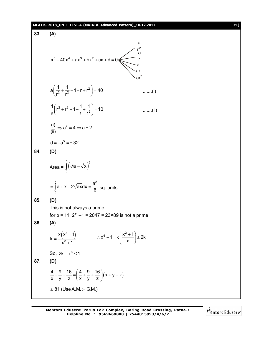### **MEAITS 2018\_UNIT TEST-4 (MAIN & Advanced Pattern)\_10.12.2017** [ **21** ] **83. (A)**  $x^5 - 40x^4 + ax^3 + bx^2 + cx + d = 0$  $r^2$ a a r a ar  $ar^2$ 2  $a\left(\frac{1}{r^2}+\frac{1}{r^2}+1+r+r^2\right)=40$  $r^2$   $r^2$  $\left(\frac{1}{r^2} + \frac{1}{r^2} + 1 + r + r^2\right) = 40$  .......(i) 2  $r^2$  $\frac{1}{2} \left( r^2 + r^2 + 1 + \frac{1}{r} + \frac{1}{r^2} \right) = 10$ al rr  $\left(r^2 + r^2 + 1 + \frac{1}{r} + \frac{1}{r^2}\right) = 10$  .......(ii)  $\frac{(i)}{m}$   $\Rightarrow$   $a^2 = 4$   $\Rightarrow$   $a \pm 2$ (ii)  $\Rightarrow$  a<sup>2</sup> = 4  $\Rightarrow$  a  $\pm$  2  $d = -a^5 = \pm 32$ **84. (D)** Area =  $\int (\sqrt{a} - \sqrt{x})$ a<br> $\overline{C}$   $\overline{C}$   $\overline{C}$   $\overline{C}$   $\overline{C}$   $\overline{C}$   $\overline{C}$   $\overline{C}$   $\overline{C}$   $\overline{C}$   $\overline{C}$   $\overline{C}$   $\overline{C}$   $\overline{C}$   $\overline{C}$   $\overline{C}$   $\overline{C}$   $\overline{C}$   $\overline{C}$   $\overline{C}$   $\overline{C}$   $\overline{C}$   $\overline{C}$   $\overline{C}$   $\over$ J (√a – √x<sub> )</sub><br>º a  $\sim$   $\sim$   $\sim$ 0  $a + x - 2\sqrt{ax}dx = \frac{a}{6}$  $=\int_{0}^{1} a+x-2\sqrt{ax}dx=\frac{a}{6}$  sq. units **85. (D)** This is not always a prime. for  $p = 11$ ,  $2^{11} - 1 = 2047 = 23 \times 89$  is not a prime. **86. (A)**  $(x^6 + 1)$ 2  $x(x^{\circ}+1)$ k  $x^2 + 1$  $^{+}$  $=$  $\ddot{}$  $x^6 + 1 = k \left( \frac{x^2 + 1}{n} \right) \ge 2k$ x  $\left(x^2+1\right)$  $\therefore$  x<sup>6</sup> + 1 = k  $\left(\frac{X}{x}\right)^{1/2}$   $\geq$  2 So,  $2k - x^6 \le 1$ **87. (D)**  $\frac{4}{x} + \frac{9}{y} + \frac{16}{z} = \left(\frac{4}{x} + \frac{9}{y} + \frac{16}{z}\right)(x+y+z)$ x y z x y z  $+\frac{9}{y}+\frac{16}{z}=\left(\frac{4}{x}+\frac{9}{y}+\frac{16}{z}\right)(x+y+z)$  $\geq$  81 (Use A.M.  $\geq$  G.M.)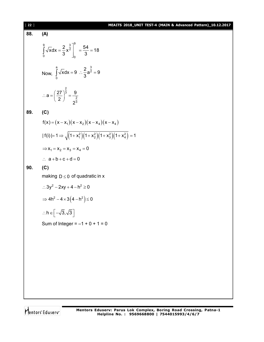| $[22]$ | MEAITS 2018_UNIT TEST-4 (MAIN & Advanced Pattern)_10.12.2017                               |
|--------|--------------------------------------------------------------------------------------------|
| 88.    | (A)                                                                                        |
|        | $\int_{0}^{9} \sqrt{x} dx = \frac{2}{3} x^{\frac{3}{2}} \Big _{0}^{9} = \frac{54}{3} = 18$ |
|        | Now, $\int_{0}^{a} \sqrt{x} dx = 9$ : $\frac{2}{3}a^{\frac{3}{2}} = 9$                     |
|        | ∴ $a = \left(\frac{27}{2}\right)^{\frac{2}{3}} = \frac{9}{2^{\frac{2}{3}}}$                |
| 89.    | (C)                                                                                        |
|        | $f(x) = (x - x_1)(x - x_2)(x - x_4)(x - x_4)$                                              |
|        | $ f(i) =1 \Rightarrow \sqrt{(1+x_1^2)(1+x_2^2)(1+x_3^2)(1+x_4^2)}=1$                       |
|        | $\Rightarrow$ $x_1 = x_2 = x_3 = x_4 = 0$                                                  |
|        | $\therefore$ a + b + c + d = 0                                                             |
| 90.    | (C)                                                                                        |
|        | making $D \le 0$ of quadratic in x                                                         |
|        | $\therefore 3y^2 - 2xy + 4 - h^2 \ge 0$                                                    |
|        | $\Rightarrow$ 4h <sup>2</sup> – 4 × 3(4 – h <sup>2</sup> ) $\leq$ 0                        |
|        | $\therefore h \in \left[ \left. -\sqrt{3}, \sqrt{3} \right. \right]$<br>┙                  |
|        | Sum of Integer = $-1 + 0 + 1 = 0$                                                          |
|        |                                                                                            |
|        |                                                                                            |
|        |                                                                                            |
|        |                                                                                            |
|        |                                                                                            |
|        |                                                                                            |
|        |                                                                                            |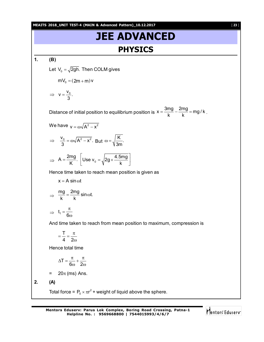**MEAITS 2018\_UNIT TEST-4 (MAIN & Advanced Pattern)\_10.12.2017** [ **23** ]

## **JEE ADVANCED PHYSICS**

**1. (B)**

Let  $V_0 = \sqrt{2gh}$ . Then COLM gives

$$
mV_0 = (2m+m)v
$$

 $V = \frac{V_0}{R}$ . 3  $\Rightarrow$   $V = -$ 

Distance of initial position to equilibrium position is  $x = \frac{3mg}{k} - \frac{2mg}{k} = mg/k$  $=\frac{m \cdot m g}{k} - \frac{2m g}{k} = mg/k$ .

We have 
$$
v = \omega \sqrt{A^2 - x^2}
$$

$$
\Rightarrow \quad \frac{V_0}{3} = \omega \sqrt{A^2 - x^2}.
$$
 But  $\omega = \sqrt{\frac{K}{3m}}$ .

$$
\Rightarrow A = \frac{2mg}{K} \cdot \left[ \text{Use } v_0 = \sqrt{2g \times \frac{4.5mg}{k}} \right]
$$

Hence time taken to reach mean position is given as

$$
x = A \sin \omega t
$$

$$
\Rightarrow \frac{mg}{k} = \frac{2mg}{k} \sin \omega t.
$$

$$
\Rightarrow t_1 = \frac{\pi}{6\omega}
$$

And time taken to reach from mean position to maximum, compression is

$$
=\frac{T}{4}=\frac{\pi}{2\omega}
$$

Hence total time

$$
\Delta T = \frac{\pi}{6\omega} + \frac{\pi}{2\omega}
$$

 $= 20\pi$  (ms) Ans.

$$
2. (A)
$$

Total force =  $P_0 \times \pi r^2$  + weight of liquid above the sphere.

**Mentors Eduserv: Parus Lok Complex, Boring Road Crossing, Patna-1 Helpline No. : 9569668800 | 7544015993/4/6/7**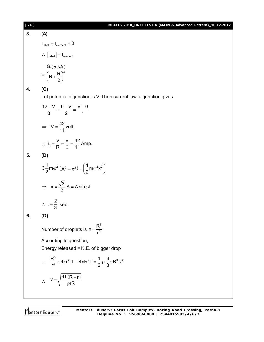| $[24]$ | MEAITS 2018_UNIT TEST-4 (MAIN & Advanced Pattern)_10.12.2017                                                                         |
|--------|--------------------------------------------------------------------------------------------------------------------------------------|
| 3.     | (A)                                                                                                                                  |
|        | $I_{shell} + I_{element} = 0$                                                                                                        |
|        | $\therefore$ $\left  I_{\text{shell}} \right  = I_{\text{element}}$                                                                  |
|        | $= \frac{G(\sigma \Delta A)}{\left(R + \frac{R}{2}\right)^2}$                                                                        |
| 4.     | (C)                                                                                                                                  |
|        | Let potential of junction is V. Then current law at junction gives                                                                   |
|        | $\frac{12-V}{3} + \frac{6-V}{2} = \frac{V-0}{1}$                                                                                     |
|        | $\Rightarrow V = \frac{42}{11}$ volt                                                                                                 |
|        | $\therefore i_3 = \frac{V}{R} = \frac{V}{I} = \frac{42}{11}$ Amp.                                                                    |
| 5.     | (D)                                                                                                                                  |
|        | $3\frac{1}{2}$ mω <sup>2</sup> (A <sup>2</sup> – x <sup>2</sup> ) = $\left(\frac{1}{2}$ mω <sup>2</sup> x <sup>2</sup> )             |
|        | $\Rightarrow$ $x = \frac{\sqrt{3}}{2}A = A \sin \omega t$ .                                                                          |
|        | $\therefore$ t = $\frac{2}{3}$ sec.                                                                                                  |
| 6.     | (D)                                                                                                                                  |
|        | Number of droplets is $n = \frac{R^3}{r^3}$                                                                                          |
|        | According to question,                                                                                                               |
|        | Energy released = K.E. of bigger drop                                                                                                |
|        | $\therefore \quad \frac{R^3}{r^3} \times 4\pi r^2 \cdot T - 4\pi R^2 T = \frac{1}{2} \cdot \rho \cdot \frac{4}{3} \pi R^3 \cdot v^2$ |
|        | $\therefore V = \sqrt{\frac{6T(R-r)}{prR}}$                                                                                          |
|        |                                                                                                                                      |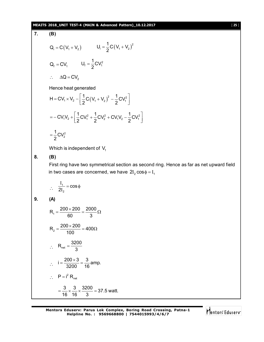### **MEAITS 2018\_UNIT TEST-4 (MAIN & Advanced Pattern)\_10.12.2017** [ **25** ]

7. **(B)**  
\n
$$
Q_1 = C(V_1 + V_2)
$$
  $U_1 = \frac{1}{2}C(V_1 + V_2)^2$   
\n $Q_1 = CV_1$   $U_1 = \frac{1}{2}CV_1^2$   
\n $\therefore \Delta Q = CV_2$   
\nHence heat generated  
\n $H = CV_1 \times V_2 - \left[\frac{1}{2}C(V_1 + V_2)^2 - \frac{1}{2}CV_1^2\right]$   
\n $= -CV_1V_2 + \left[\frac{1}{2}CV_1^2 + \frac{1}{2}CV_2^2 + CV_1V_2 - \frac{1}{2}CV_1^2\right]$   
\n $= \frac{1}{2}CV_2^2$   
\nWhich is independent of V<sub>1</sub>  
\n8. **(B)**  
\nFirst ring have two symmetrical section as second ring. Hence as far as net upward field  
\nin two cases are concerned, we have  $2I_2 \cos \phi = I_1$   
\n $\therefore \frac{I_1}{2I_2} = \cos \phi$   
\n9. **(A)**  
\n $R_1 = \frac{200 \times 200}{60} = \frac{2000}{3}\Omega$   
\n $R_2 = \frac{200 \times 200}{100} = 400\Omega$   
\n $\therefore R_{net} = \frac{3200}{3}$   
\n $\therefore I = \frac{200 \times 3}{300} = \frac{3}{16}$  amp.  
\n $\therefore P = i^2 R_{net}$   
\n $= \frac{3}{16} \times \frac{3}{16} \times \frac{3200}{3} = 37.5$  wat.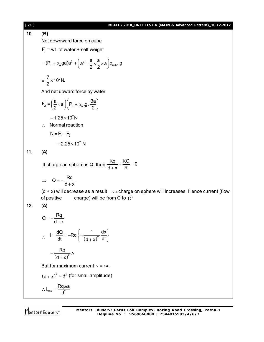12.6  
\n16. (B)  
\nNet downward force on cube  
\n
$$
F_x = wt
$$
. of water + self weight  
\n
$$
= (P_0 + \rho_w ga)a^2 + (a^2 - \frac{a}{2} \times \frac{a}{2} \times a) \rho_{obs} .9
$$
\n
$$
= \frac{7}{2} \times 10^7 N.
$$
\nAnd net upward force by water  
\n
$$
F_z = (\frac{a}{2} \times a) (P_0 + \rho_w a) .3a/2
$$
\n
$$
= 1.25 \times 10^7 N
$$
\n∴ Normal reaction  
\n
$$
N = F_1 - F_2
$$
\n
$$
= 2.25 \times 10^7 N
$$
\n11. (A)  
\nIf charge an sphere is Q, then  $\frac{Kq}{d+x} + \frac{KQ}{R} = 0$   
\n
$$
\Rightarrow Q = -\frac{Rq}{d+x}
$$
\n
$$
(d+x) will decrease as a result -ve charge on sphere will increases. Hence current (flow of positive charge) will be from C to C'\n12. (A)\n
$$
Q = -\frac{Rq}{d+x}
$$
\n
$$
\therefore i = \frac{dQ}{dt} = -Rq \left\{ -\frac{1}{(d+x)^2} \frac{dx}{dt} \right\}
$$
\n
$$
= \frac{Rq}{(d+x)^2} .V
$$
\nBut for maximum current v =  $\omega a$   
\n
$$
(d+x)^2 = d^2
$$
 (for small amplitude)  
\n $\therefore i_{max} = \frac{Rq\omega a}{d^2}$
$$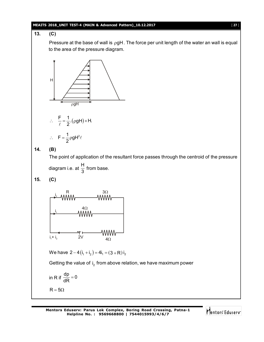### **MEAITS 2018\_UNIT TEST-4 (MAIN & Advanced Pattern)\_10.12.2017** [ **27** ]

### **13. (C)**

Pressure at the base of wall is  $\rho gH$ . The force per unit length of the water an wall is equal to the area of the pressure diagram.



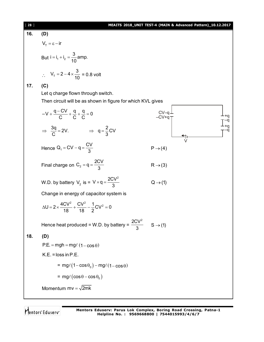| [28] |                                                                                | MEAITS 2018_UNIT TEST-4 (MAIN & Advanced Pattern)_10.12.2017 |
|------|--------------------------------------------------------------------------------|--------------------------------------------------------------|
| 16.  | (D)                                                                            |                                                              |
|      | $V_{\tau} = \varepsilon - i r$                                                 |                                                              |
|      | But $i = i_1 + i_2 = \frac{3}{10}$ amp.                                        |                                                              |
|      | $V_T = 2-4 \times \frac{3}{10} = 0.8$ volt                                     |                                                              |
| 17.  | (C)                                                                            |                                                              |
|      | Let q charge flown through switch.                                             |                                                              |
|      | Then circuit will be as shown in figure for which KVL gives                    |                                                              |
|      | $-V + \frac{q-CV}{C} + \frac{q}{C} + \frac{q}{C} = 0$                          | -CV-q<br>-CV+q<br>+q                                         |
|      | $\Rightarrow \frac{3q}{C} = 2V.$ $\Rightarrow q = \frac{2}{3}CV$               | ا†≛                                                          |
|      | Hence $Q_1 = CV - q = \frac{CV}{3}$                                            | $P \rightarrow (4)$                                          |
|      | Final charge on $C_2 = q = \frac{2CV}{3}$                                      | $R\rightarrow(3)$                                            |
|      | W.D. by battery $V_2$ is = $V \times q = \frac{2CV^2}{3}$                      | $Q \rightarrow (1)$                                          |
|      | Change in energy of capacitor system is                                        |                                                              |
|      | $\Delta U = 2 \times \frac{4CV^2}{18} + \frac{CV^2}{18} - \frac{1}{2}CV^2 = 0$ |                                                              |
|      | Hence heat produced = W.D. by battery = $\frac{2CV^2}{3}$ S $\rightarrow$ (1)  |                                                              |
| 18.  | (D)                                                                            |                                                              |
|      | $P.E. = mgh = mg\ell (1 - \cos \theta)$                                        |                                                              |
|      | $K.E. = loss in P.E.$                                                          |                                                              |
|      | $= mg\ell(1-\cos\theta_0) - mg\ell(1-\cos\theta)$                              |                                                              |
|      | $= mg\ell(\cos\theta - \cos\theta_0)$                                          |                                                              |
|      | Momentum $mv = \sqrt{2mk}$                                                     |                                                              |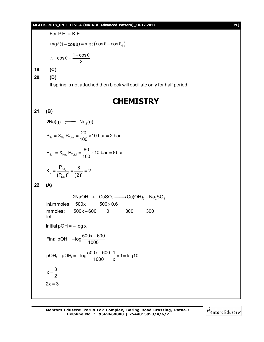### **MEAITS 2018\_UNIT TEST-4 (MAIN & Advanced Pattern)\_10.12.2017** [ **29** ]

For  $P.E. = K.E.$  $mg\ell(1-\cos\theta) = mg\ell(\cos\theta-\cos\theta_0)$ 

$$
\therefore \quad \cos \theta = \frac{1 + \cos \theta}{2}
$$

**19. (C)**

**20. (D)**

If spring is not attached then block will oscillate only for half period.

### **CHEMISTRY**

$$
21. (B)
$$

$$
2Na(g) \xrightarrow{\text{max}} Na_2(g)
$$
  

$$
P_{Na} = X_{Na} \cdot P_{Total} = \frac{20}{100} \times 10 \text{ bar} = 2 \text{ bar}
$$

100

$$
P_{\text{Na}_2} = X_{\text{Na}_2} . P_{\text{Total}} = \frac{80}{100} \times 10 \text{ bar} = 8 \text{ bar}
$$

$$
K_{\rm p} = \frac{P_{\rm Na_2}}{\left(P_{\rm Na}\right)^2} = \frac{8}{\left(2\right)^2} = 2
$$

$$
22. (A)
$$

2NaOH +  $CuSO_4 \longrightarrow Cu(OH)_2 + Na_2SO_4$  $inimmoles: 500x$ mmoles: 500x-600 0 300 300 left  $500\times0.6$ Initial  $pOH = - \log x$ Final pOH =  $-log \frac{500x - 600}{1000}$ 1000  $=-\log \frac{500x-}{100}$ pOH<sub>f</sub> - pOH<sub>i</sub> = -log  $\frac{500x - 600}{1000}$ .  $\frac{1}{x}$  = 1 = log10 1000 x  $-pOH = -log \frac{500x - 600}{1000}$ .  $\frac{1}{1} = 1 = 1$  $x=\frac{3}{2}$ 2  $=$  $2x = 3$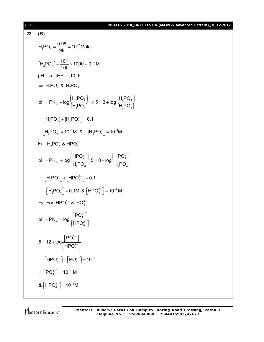### [ **30** ] **MEAITS 2018\_UNIT TEST-4 (MAIN & Advanced Pattern)\_10.12.2017**

23. **(B)**  
\n
$$
H_3PO_4 = \frac{0.98}{98} = 10^{-2} \text{ Mole}
$$
\n
$$
[H_3PO_4] = \frac{10^{-2}}{100} \times 1000 = 0.1 \text{ M}
$$
\n
$$
pH = 5 ; [H+]= 10-5
$$
\n
$$
\Rightarrow H_3PO_4 & H_2PO_4
$$
\n
$$
pH = PK_{a_1} + log \frac{[H_2PO_4]}{[H_3PO_4]} \Rightarrow 5 = 3 + log \frac{[H_2PO_4]}{[H_3PO_4]}
$$
\n
$$
\because [H_3PO_4] + [H_2PO_4] = 0.1
$$
\n
$$
\therefore [H_3PO_4] = 10^{-3} \text{ M} & [H_2PO_4] = 10^{-1} \text{ M}
$$
\nFor  $H_2PO_4$  &  $HPO_4^2$ \n
$$
pH = PK_{a_2} + log \frac{[HPO_4^2]}{[H_2PO_4]}; 5 = 8 + log \frac{[HPO_4^2]}{[H_2PO_4]}
$$
\n
$$
\therefore [H_2PO^-] + [HPO_4^2^-] = 0.1
$$
\n
$$
[H_2PO_4] = 0.1 \text{ M} & [HPO_4^2^-] = 10^{-4} \text{ M}
$$
\n
$$
\Rightarrow \text{ For HPO}_4^2 & RO_4^3
$$
\n
$$
pH = PK_{a_3} + log \frac{[PO_4^3^-]}{[HPO_4^2^-]}
$$
\n
$$
5 = 12 + log \frac{[PO_4^3^-]}{[HPO_4^2^-]} = 10^{-4}
$$
\n
$$
\therefore [PO_4^2^-] = 10^{-11} \text{ M}
$$
\n
$$
8 [HPO_4^2^-] = 10^{-11} \text{ M}
$$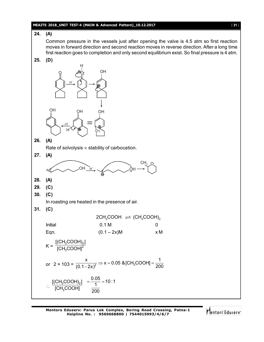### **MEAITS 2018\_UNIT TEST-4 (MAIN & Advanced Pattern)\_10.12.2017** [ **31** ]

### **24. (A)**

Common pressure in the vessels just after opening the valve is 4.5 atm so first reaction moves in forward direction and second reaction moves in reverse direction. After a long time first reaction goes to completion and only second equilibrium exist. So final pressure is 4 atm.

**25. (D)**



**26. (A)**

Rate of solvolysis  $\infty$  stability of carbocation.

**27. (A)**  $\overline{OH_{H}}$  $\rightarrow$   $\sim$   $\sim$   $\sim$   $\sim$   $\frac{9}{9}$ H <sup>CHູ</sup>ງ O **28. (A) 29. (C) 30. (C)** In roasting ore heated in the presence of air. **31. (C)**  $2CH<sub>3</sub>COOH \rightleftharpoons (CH<sub>3</sub>COOH)<sub>2</sub>$ Initial 0.1 M 0.1 M 0 Eqn.  $(0.1 - 2x)M$   $\times M$  $K = \frac{1 \times 1300011_{2}}{[CH_{3}COOH]^{2}}$ [(CH $_{3}$ COOH) $_{2}$ ]  $\mathsf{[CH_{3}COOH]}$ or  $2 \times 103 = \frac{X}{(0.1 - 2x)^2} \Rightarrow X = 0.05$  & [CH<sub>3</sub>COOH] =  $\frac{1}{200}$  $(0.1-2x)^2$  200  $\Rightarrow$  x = 0.05 &[CH<sub>3</sub>COOH] = - $\overline{\phantom{a}}$  $\therefore \frac{1}{1}$   $\frac{1}{2}$   $\frac{1}{2}$   $\frac{1}{2}$   $\frac{1}{2}$   $\frac{1}{2}$   $\frac{1}{2}$   $\frac{1}{2}$   $\frac{1}{2}$ 3  $[{\sf (CH_3COOH)_2}]$  $\overline{\text{[CH}_{3}^{\circ} \text{COOH}]}$  $\frac{0.05}{1}$  = 10 : 1 200  $=\frac{0.00}{4}=1$ 

**Mentors Eduserv: Parus Lok Complex, Boring Road Crossing, Patna-1 Helpline No. : 9569668800 | 7544015993/4/6/7**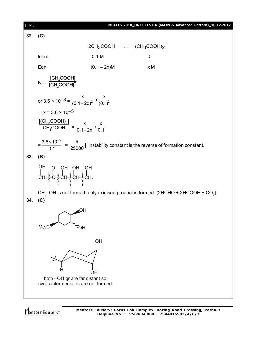[ **32** ] **MEAITS 2018\_UNIT TEST-4 (MAIN & Advanced Pattern)\_10.12.2017 32. (C)**  $2CH_3COOH$   $\rightleftharpoons$   $(CH_3COOH)_2$ Initial 0.1 M 0 Eqn.  $(0.1 - 2x)M$   $\times M$  $K = \frac{[CH_3 \text{COOH}]}{[CH_3 \text{COOH}]^2}$  $\mathsf{[CH_{3}COOH]}$  $\left[\mathsf{CH}_{_{3}}\mathsf{COOH}\right]$ or 3.6  $\times$  10<sup>-3</sup> =  $\frac{x}{(0.1 - 2x)^2} \approx \frac{x}{(0.1)^2}$  $(0.1-2x)^2$  (0.1)  $\approx$  $\overline{\phantom{a}}$  $\therefore$  x = 3.6 × 10<sup>-5</sup>  $3$ <sup>2</sup> 3  $[{\sf (CH_3COOH)_2}]$  $[CH<sub>3</sub>COOH] =$  $x \rightarrow x$  $0.1 - 2x$  0.1  $\approx$  $\overline{a}$ =  $3.6\times 10^{-5}$ 0.1  $\frac{\times 10^{-5}}{24}$  = 9  $\frac{1}{25000}$  Instability constant is the reverse of formation constant. **33. (B)**  $CH_2$ –် $\leftarrow$ CH– $\leftarrow$ CH– $\leftarrow$ CH $_2$ OH O OH OH OH CH $_{\text{3}}$ –OH is not formed, only oxidised product is formed. (2HCHO + 2HCOOH + CO $_{\text{2}}$ ) **34. (C)** OH  $Me_{3}C$  William MOH OH H d<sub>H</sub> both –OH gr are far distant so cyclic intermediates are not formed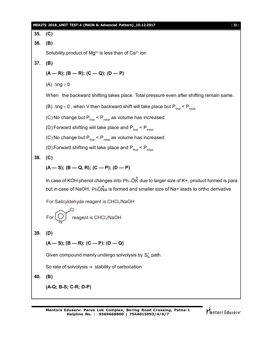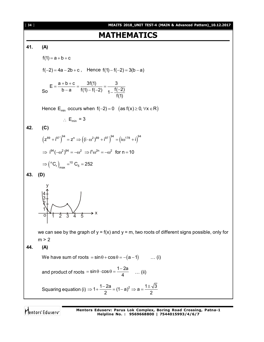[ **34** ] **MEAITS 2018\_UNIT TEST-4 (MAIN & Advanced Pattern)\_10.12.2017**

### **MATHEMATICS**

**41. (A)**  $f(1) = a + b + c$  $f(-2) = 4a - 2b + c$ , Hence  $f(1) - f(-2) = 3(b - a)$ So  $E = \frac{a + b + c}{i} = \frac{3f(1)}{f(1) - f(2)} = \frac{3}{f(1)}$ b-a  $f(1) - f(-2)$   $1 - \frac{f(-2)}{f(4)}$ f(1)  $=\frac{a+b+c}{b-a}=\frac{3f(1)}{f(1)-f(-2)}=\frac{3}{1-\frac{f(-1)}{f(1)}}$ Hence  $E_{min}$  occurs when  $f(-2) = 0$  (as  $f(x) \ge 0$ ,  $\forall x \in R$ )  $\therefore$  E<sub>min</sub> = 3 **42. (C)**  $(z^{89} + i^{97})^{94} = z^n \Rightarrow ((i \cdot \omega^2)^{89} + i^{97})^{94} = (i \omega^{178} + i)^{94}$  $\Rightarrow i^{94}(-\omega^2)^{94} = -\omega^2 \Rightarrow i^n \omega^{2n} = -\omega^2$  for n = 10  $\Rightarrow$  (<sup>n</sup>C<sub>r</sub>)<sub>max</sub> =<sup>10</sup> C<sub>5</sub> = 252 **43. (D)**  $\frac{1}{1}$   $\frac{1}{2}$   $\frac{1}{2}$   $\frac{1}{4}$   $\frac{1}{5}$ • o 1 2 3 4 5 1 اد<br>ا • x y 2 3 4 we can see by the graph of  $y = f(x)$  and  $y = m$ , two roots of different signs possible, only for  $m > 2$ **44. (A)** We have sum of roots  $= \sin \theta + \cos \theta = -(a-1)$  ... (i) and product of roots =  $\sin \theta \cdot \cos \theta = \frac{1-2a}{4}$ 4  $= \sin \theta \cdot \cos \theta = \frac{1-2a}{4}$  ... (ii) Squaring equation (i)  $\Rightarrow$  1+  $\frac{1-2a}{2}$  = (1-a)<sup>2</sup>  $\Rightarrow$  a =  $\frac{1\pm\sqrt{3}}{2}$ 2 2  $\Rightarrow$  1+  $\frac{1-2a}{2}$  =  $(1-a)^2$   $\Rightarrow$   $a = \frac{1\pm\sqrt{3}}{2}$ 

Mentors Eduserv

**Mentors Eduserv: Parus Lok Complex, Boring Road Crossing, Patna-1 Helpline No. : 9569668800 | 7544015993/4/6/7**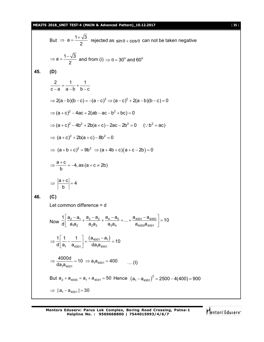#### **MEAITS 2018\_UNIT TEST-4 (MAIN & Advanced Pattern)\_10.12.2017** [ **35** ]

**45. (D)**

**46. (C)**

But ⇒ a = 
$$
\frac{1+\sqrt{3}}{2}
$$
 rejected as sin θ + cos θ can not be taken negative  
\n⇒ a =  $\frac{1-\sqrt{3}}{2}$  and from (i) ⇒ θ = 30° and 60°  
\n(D)  
\n $\frac{2}{c-a} = \frac{1}{a-b} + \frac{1}{b-c}$   
\n⇒ 2(a-b)(b-c) = -(a-c)<sup>2</sup> ⇒ (a-c)<sup>2</sup> + 2(a-b)(b-c) = 0  
\n⇒ (a+c)<sup>2</sup> - 4ac + 2(ab - ac - b<sup>2</sup> + bc) = 0  
\n⇒ (a+c)<sup>2</sup> - 4b<sup>2</sup> + 2b(a+c) - 2ac - 2b<sup>2</sup> = 0 (∴ b<sup>2</sup> = ac)  
\n⇒ (a+c)<sup>2</sup> + 2b(a+c) - 8b<sup>2</sup> = 0  
\n⇒ (a+b+c)<sup>2</sup> = 9b<sup>2</sup> ⇒ (a+4b+c)(a+c-2b) = 0  
\n⇒  $\frac{a+c}{b} = -4$ , as (a+c ≠ 2b)  
\n⇒  $\left|\frac{a+c}{b}\right| = 4$   
\n(C)  
\nLet common difference = d  
\nNow  $\frac{1}{d} \left[\frac{a_2-a_1}{a_4a_2} + \frac{a_3-a_2}{a_2a_3} + \frac{a_4-a_5}{a_4a_4} + ... + \frac{a_{4001}-a_{4000}}{a_{4000}a_{4001}}\right] = 10$   
\n⇒  $\frac{1}{d} \left[\frac{1}{a_1} - \frac{1}{a_{4001}}\right] = \frac{(a_{4001}-a_1)}{da_1a_{4001}} = 10$ 

 $1^{\text{C4}}$ 4001  $1^{\text{u}}$ 4001  $\frac{40000}{1}$  = 10  $\Rightarrow$  a<sub>1</sub>a<sub>4001</sub> = 400  $\Rightarrow \frac{10000}{da_1a_{4001}} = 10 \Rightarrow a_1a_{4001} = 400$  ... (1) But  $a_2 + a_{4000} = a_1 + a_{4001} = 50$  Hence  $(a_1 - a_{4001})^2 = 2500 - 4(400) = 900$  $\Rightarrow$   $|a_1 - a_{4001}| = 30$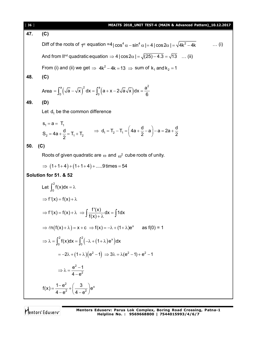| [36] | MEAITS 2018_UNIT TEST-4 (MAIN & Advanced Pattern)_10.12.2017                                                                                         |
|------|------------------------------------------------------------------------------------------------------------------------------------------------------|
| 47.  | (C)                                                                                                                                                  |
|      | Diff of the roots of $1^{st}$ equation =4 cos <sup>4</sup> $\alpha$ -sin <sup>4</sup> $\alpha$  =4 cos2 $\alpha$  = $\sqrt{4k^2-4k}$<br>$\ldots$ (i) |
|      | And from II <sup>nd</sup> quadratic equation $\Rightarrow$ 4   cos 2 $\alpha$   = $\sqrt{(25)-4.3}$ = $\sqrt{13}$ (ii)                               |
|      | From (i) and (ii) we get $\Rightarrow$ 4k <sup>2</sup> – 4k = 13 $\Rightarrow$ sum of k <sub>1</sub> and k <sub>2</sub> = 1                          |
| 48.  | (C)                                                                                                                                                  |
|      | Area = $\int_{0}^{a} \left(\sqrt{a} - \sqrt{x}\right)^2 dx = \int_{0}^{a} \left(a + x - 2\sqrt{a}\sqrt{x}\right) dx = \frac{a^2}{6}$                 |
| 49.  | (D)                                                                                                                                                  |
|      | Let $d_1$ be the common difference                                                                                                                   |
|      | $S_1 = a = T_1$                                                                                                                                      |
|      | $S_2 = 4a + \frac{d}{2} = T_1 + T_2$ $\Rightarrow d_1 = T_2 - T_1 = \left(4a + \frac{d}{2} - a\right) - a = 2a + \frac{d}{2}$                        |
| 50.  | (C)                                                                                                                                                  |
|      | Roots of given quadratic are $\omega$ and $\omega^2$ cube roots of unity.                                                                            |
|      | $\Rightarrow$ $(1+1+4)+(1+1+4)+9$ times = 54                                                                                                         |
|      | Solution for 51. & 52                                                                                                                                |
|      | Let $\int_{0}^{2} f(x) dx = \lambda$                                                                                                                 |
|      | $\Rightarrow$ f'(x) = f(x) + $\lambda$                                                                                                               |
|      | $\Rightarrow$ f'(x) = f(x) + $\lambda \Rightarrow$ $\int \frac{f'(x)}{f(x)+\lambda} dx = \int 1 dx$                                                  |
|      | $\Rightarrow ln(f(x)+\lambda) = x + c \Rightarrow f(x) = -\lambda + (1+\lambda)e^{x}$<br>as $f(0) = 1$                                               |
|      | $\Rightarrow \lambda = \int_{0}^{2} f(x) dx = \int_{0}^{2} (-\lambda + (1 + \lambda)e^{x}) dx$                                                       |
|      | $= -2\lambda + (1 + \lambda)(e^{2} - 1) \Rightarrow 3\lambda = \lambda(e^{2} - 1) + e^{2} - 1$                                                       |
|      | $\Rightarrow \lambda = \frac{e^2 - 1}{4 - e^2}$                                                                                                      |
|      | $f(x) = \frac{1-e^2}{4-e^2} + \left(\frac{3}{4-e^2}\right)e^x$                                                                                       |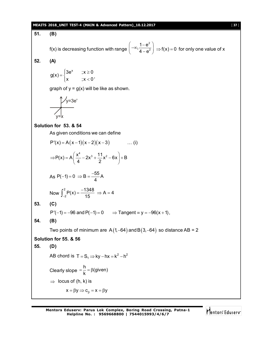#### **MEAITS 2018\_UNIT TEST-4 (MAIN & Advanced Pattern)\_10.12.2017** [ **37** ]

**51. (B)** f(x) is decreasing function with range 2 2  $, \frac{1 - e^2}{4}$  $4 - e^2$  $\left(-\infty, \dfrac{1-\mathsf{e}^2}{4-\mathsf{e}^2}\right) \Longrightarrow f(\mathsf{x}) = 0$  for only one value of x **52. (A)**  $g(x) = \begin{cases} 3e^x & x \ge 0 \end{cases}$  $x \qquad x < 0$  $3e^x$  ; x  $\ge$  $=\{$  $\begin{cases} x & ; x < 0 \end{cases}$ graph of  $y = g(x)$  will be like as shown. • y=3e<sup>×</sup> y=x **Solution for 53. & 54** As given conditions we can define  $P'(x) = A(x-1)(x-2)(x-3)$  ... (i)  $P(x) = A\left(\frac{x^4}{4} - 2x^3 + \frac{11}{2}x^2 - 6x\right) + B$ 4 2  $\Rightarrow P(x) = A\left(\frac{x^4}{4} - 2x^3 + \frac{11}{2}x^2 - 6x\right) + B$ As  $P(-1) = 0 \Rightarrow B = \frac{-55}{4}A$ 4  $-1$ ) = 0  $\Rightarrow$  B =  $\frac{1}{2}$ Now  $\int_{0}^{2}$  $\frac{1}{2}P(x) = \frac{-1348}{15} \Rightarrow A = 4$  $-2$  (15  $\int_{-2}^{2} P(x) = \frac{-1348}{15} \Rightarrow A = 4$ **53. (C)**  $P'(-1) = -96$  and  $P(-1) = 0$   $\Rightarrow$  Tangent = y = -96(x + 1), **54. (B)** Two points of minimum are  $A(1,-64)$  and  $B(3,-64)$  so distance AB = 2 **Solution for 55. & 56 55. (D)** AB chord is  $T = S_1 \implies ky - hx = k^2 - h^2$ Clearly slope  $\frac{h}{h} = \beta$ (given) k  $=\frac{1}{1}$  =  $\beta$ (  $\Rightarrow$  locus of (h, k) is  $x = \beta y \implies c_{\beta} = x = \beta y$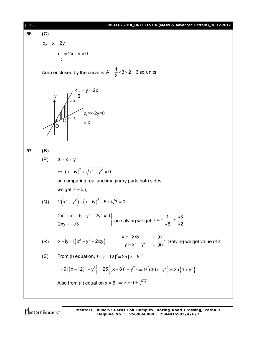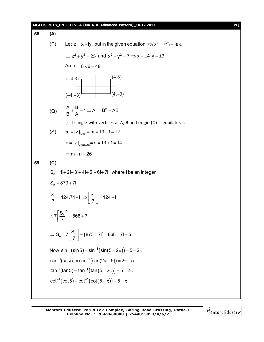|     |     | MEAITS 2018_UNIT TEST-4 (MAIN & Advanced Pattern)_10.12.2017<br>$[39]$                                                  |
|-----|-----|-------------------------------------------------------------------------------------------------------------------------|
| 58. | (A) |                                                                                                                         |
|     | (P) | Let $z = x + iy$ , put in the given equation $z\overline{z}(z^2 + z^2) = 350$                                           |
|     |     | $\Rightarrow$ x <sup>2</sup> + y <sup>2</sup> = 25 and x <sup>2</sup> - y <sup>2</sup> = 7 $\Rightarrow$ x = ±4, y = ±3 |
|     |     | Area = $8 \times 6 = 48$                                                                                                |
|     |     | (4,3)<br>$(-4,3)$<br>$(4,-3)$<br>$(-4,-3)^{1}$                                                                          |
|     |     |                                                                                                                         |
|     |     | (Q) $\frac{A}{B} + \frac{B}{A} = 1 \implies A^2 + B^2 = AB$                                                             |
|     |     | $\therefore$ triangle with vertices at A, B and origin (O) is equilateral.                                              |
|     | (S) | $m =  z _{least} = m = 13 - 1 = 12$                                                                                     |
|     |     | $n =  z _{greatest} = n = 13 + 1 = 14$                                                                                  |
|     |     | $\Rightarrow$ m + n = 26                                                                                                |
| 59. | (C) |                                                                                                                         |
|     |     | $S_n = 1! + 2! + 3! + 4! + 5! + 6! + 71$ where I be an integer                                                          |
|     |     | $S_n = 873 + 71$                                                                                                        |
|     |     | $\frac{S_n}{7}$ = 124.71+1 $\Rightarrow$ $\left  \frac{S_n}{7} \right $ = 124+1                                         |
|     |     | $\therefore 7\left[\frac{S_n}{7}\right] = 868 + 71$                                                                     |
|     |     | $\Rightarrow$ S <sub>n</sub> - 7 $\left[\frac{S_n}{7}\right]$ = (873 + 71) - 868 + 71 = 5                               |
|     |     | Now $\sin^{-1}(\sin 5) = \sin^{-1}(\sin(5-2\pi)) = 5-2\pi$                                                              |
|     |     | $cos^{-1}(cos 5) = cos^{-1}(cos(2\pi - 5)) = 2\pi - 5$                                                                  |
|     |     | $\tan^{-1}(\tan 5) = \tan^{-1}(\tan(5-2\pi)) = 5-2\pi$                                                                  |
|     |     | $cot^{-1}(cot 5) = cot^{-1}(cot(5 - \pi)) = 5 - \pi$                                                                    |
|     |     |                                                                                                                         |